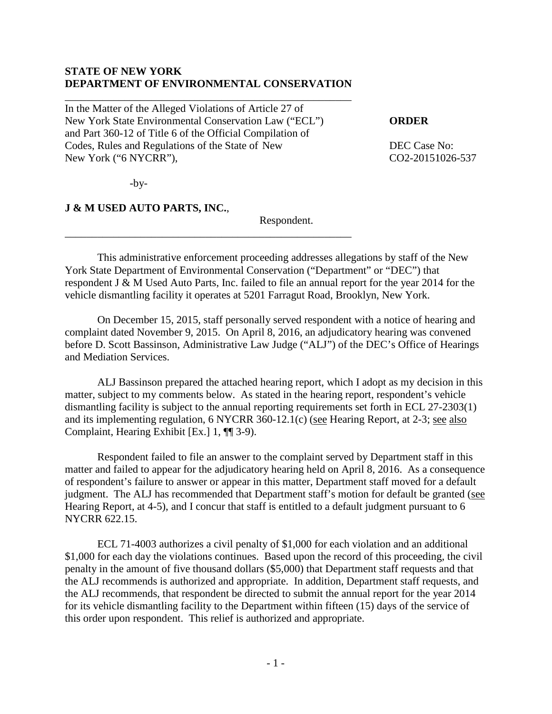## **STATE OF NEW YORK DEPARTMENT OF ENVIRONMENTAL CONSERVATION**

\_\_\_\_\_\_\_\_\_\_\_\_\_\_\_\_\_\_\_\_\_\_\_\_\_\_\_\_\_\_\_\_\_\_\_\_\_\_\_\_\_\_\_\_\_\_\_\_\_\_\_\_\_

\_\_\_\_\_\_\_\_\_\_\_\_\_\_\_\_\_\_\_\_\_\_\_\_\_\_\_\_\_\_\_\_\_\_\_\_\_\_\_\_\_\_\_\_\_\_\_\_\_\_\_\_\_

In the Matter of the Alleged Violations of Article 27 of New York State Environmental Conservation Law ("ECL") **ORDER** and Part 360-12 of Title 6 of the Official Compilation of Codes, Rules and Regulations of the State of New DEC Case No: New York ("6 NYCRR"), CO2-20151026-537

 $-by-$ 

## **J & M USED AUTO PARTS, INC.**,

Respondent.

This administrative enforcement proceeding addresses allegations by staff of the New York State Department of Environmental Conservation ("Department" or "DEC") that respondent J & M Used Auto Parts, Inc. failed to file an annual report for the year 2014 for the vehicle dismantling facility it operates at 5201 Farragut Road, Brooklyn, New York.

On December 15, 2015, staff personally served respondent with a notice of hearing and complaint dated November 9, 2015. On April 8, 2016, an adjudicatory hearing was convened before D. Scott Bassinson, Administrative Law Judge ("ALJ") of the DEC's Office of Hearings and Mediation Services.

ALJ Bassinson prepared the attached hearing report, which I adopt as my decision in this matter, subject to my comments below. As stated in the hearing report, respondent's vehicle dismantling facility is subject to the annual reporting requirements set forth in ECL 27-2303(1) and its implementing regulation, 6 NYCRR 360-12.1(c) (see Hearing Report, at 2-3; see also Complaint, Hearing Exhibit [Ex.] 1, ¶¶ 3-9).

Respondent failed to file an answer to the complaint served by Department staff in this matter and failed to appear for the adjudicatory hearing held on April 8, 2016. As a consequence of respondent's failure to answer or appear in this matter, Department staff moved for a default judgment. The ALJ has recommended that Department staff's motion for default be granted (see Hearing Report, at 4-5), and I concur that staff is entitled to a default judgment pursuant to 6 NYCRR 622.15.

ECL 71-4003 authorizes a civil penalty of \$1,000 for each violation and an additional \$1,000 for each day the violations continues. Based upon the record of this proceeding, the civil penalty in the amount of five thousand dollars (\$5,000) that Department staff requests and that the ALJ recommends is authorized and appropriate. In addition, Department staff requests, and the ALJ recommends, that respondent be directed to submit the annual report for the year 2014 for its vehicle dismantling facility to the Department within fifteen (15) days of the service of this order upon respondent. This relief is authorized and appropriate.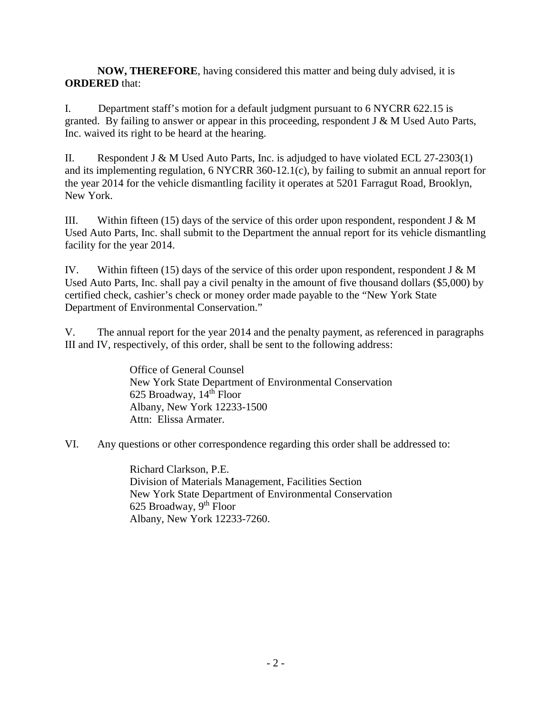**NOW, THEREFORE**, having considered this matter and being duly advised, it is **ORDERED** that:

I. Department staff's motion for a default judgment pursuant to 6 NYCRR 622.15 is granted. By failing to answer or appear in this proceeding, respondent  $J \& M$  Used Auto Parts, Inc. waived its right to be heard at the hearing.

II. Respondent J & M Used Auto Parts, Inc. is adjudged to have violated ECL  $27-2303(1)$ and its implementing regulation, 6 NYCRR 360-12.1(c), by failing to submit an annual report for the year 2014 for the vehicle dismantling facility it operates at 5201 Farragut Road, Brooklyn, New York.

III. Within fifteen (15) days of the service of this order upon respondent, respondent J  $\&$  M Used Auto Parts, Inc. shall submit to the Department the annual report for its vehicle dismantling facility for the year 2014.

IV. Within fifteen (15) days of the service of this order upon respondent, respondent J & M Used Auto Parts, Inc. shall pay a civil penalty in the amount of five thousand dollars (\$5,000) by certified check, cashier's check or money order made payable to the "New York State Department of Environmental Conservation."

V. The annual report for the year 2014 and the penalty payment, as referenced in paragraphs III and IV, respectively, of this order, shall be sent to the following address:

> Office of General Counsel New York State Department of Environmental Conservation 625 Broadway, 14<sup>th</sup> Floor Albany, New York 12233-1500 Attn: Elissa Armater.

VI. Any questions or other correspondence regarding this order shall be addressed to:

Richard Clarkson, P.E. Division of Materials Management, Facilities Section New York State Department of Environmental Conservation 625 Broadway,  $9<sup>th</sup>$  Floor Albany, New York 12233-7260.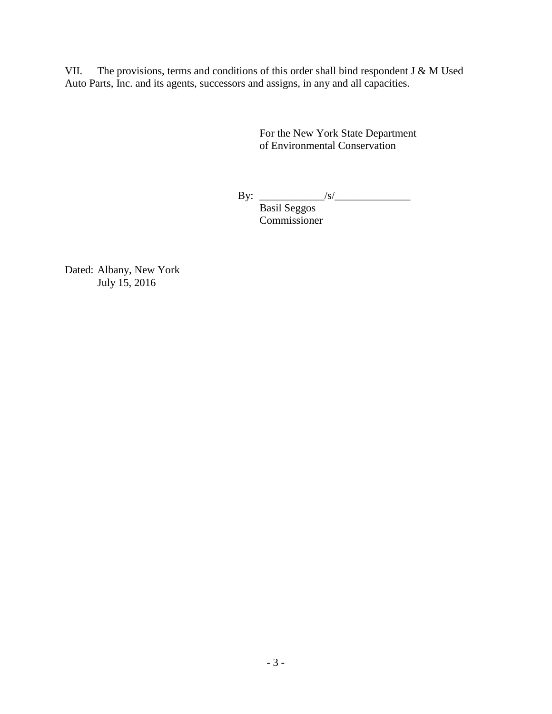VII. The provisions, terms and conditions of this order shall bind respondent J & M Used Auto Parts, Inc. and its agents, successors and assigns, in any and all capacities.

> For the New York State Department of Environmental Conservation

By: \_\_\_\_\_\_\_\_\_\_\_\_/s/\_\_\_\_\_\_\_\_\_\_\_\_\_\_

Basil Seggos Commissioner

Dated: Albany, New York July 15, 2016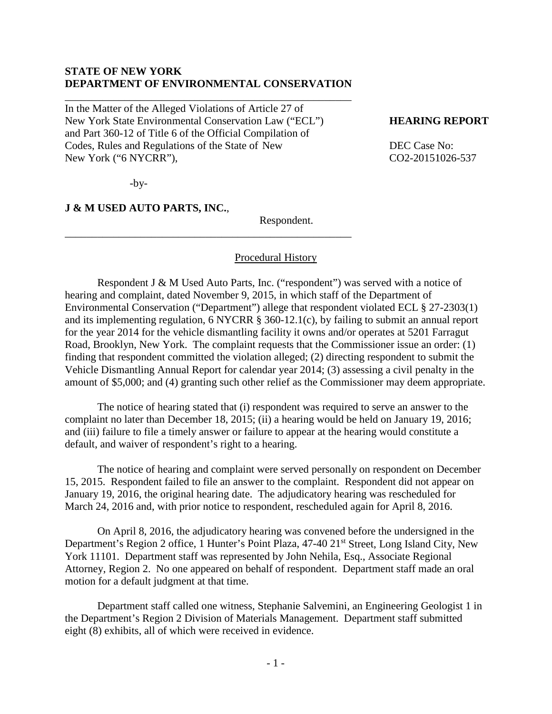## **STATE OF NEW YORK DEPARTMENT OF ENVIRONMENTAL CONSERVATION**

\_\_\_\_\_\_\_\_\_\_\_\_\_\_\_\_\_\_\_\_\_\_\_\_\_\_\_\_\_\_\_\_\_\_\_\_\_\_\_\_\_\_\_\_\_\_\_\_\_\_\_\_\_

\_\_\_\_\_\_\_\_\_\_\_\_\_\_\_\_\_\_\_\_\_\_\_\_\_\_\_\_\_\_\_\_\_\_\_\_\_\_\_\_\_\_\_\_\_\_\_\_\_\_\_\_\_

In the Matter of the Alleged Violations of Article 27 of New York State Environmental Conservation Law ("ECL") **HEARING REPORT** and Part 360-12 of Title 6 of the Official Compilation of Codes, Rules and Regulations of the State of New DEC Case No: New York ("6 NYCRR"), CO2-20151026-537

 $-by-$ 

**J & M USED AUTO PARTS, INC.**,

Respondent.

### Procedural History

Respondent J & M Used Auto Parts, Inc. ("respondent") was served with a notice of hearing and complaint, dated November 9, 2015, in which staff of the Department of Environmental Conservation ("Department") allege that respondent violated ECL § 27-2303(1) and its implementing regulation, 6 NYCRR § 360-12.1(c), by failing to submit an annual report for the year 2014 for the vehicle dismantling facility it owns and/or operates at 5201 Farragut Road, Brooklyn, New York. The complaint requests that the Commissioner issue an order: (1) finding that respondent committed the violation alleged; (2) directing respondent to submit the Vehicle Dismantling Annual Report for calendar year 2014; (3) assessing a civil penalty in the amount of \$5,000; and (4) granting such other relief as the Commissioner may deem appropriate.

The notice of hearing stated that (i) respondent was required to serve an answer to the complaint no later than December 18, 2015; (ii) a hearing would be held on January 19, 2016; and (iii) failure to file a timely answer or failure to appear at the hearing would constitute a default, and waiver of respondent's right to a hearing.

The notice of hearing and complaint were served personally on respondent on December 15, 2015. Respondent failed to file an answer to the complaint. Respondent did not appear on January 19, 2016, the original hearing date. The adjudicatory hearing was rescheduled for March 24, 2016 and, with prior notice to respondent, rescheduled again for April 8, 2016.

On April 8, 2016, the adjudicatory hearing was convened before the undersigned in the Department's Region 2 office, 1 Hunter's Point Plaza, 47-40 21<sup>st</sup> Street, Long Island City, New York 11101. Department staff was represented by John Nehila, Esq., Associate Regional Attorney, Region 2. No one appeared on behalf of respondent. Department staff made an oral motion for a default judgment at that time.

Department staff called one witness, Stephanie Salvemini, an Engineering Geologist 1 in the Department's Region 2 Division of Materials Management. Department staff submitted eight (8) exhibits, all of which were received in evidence.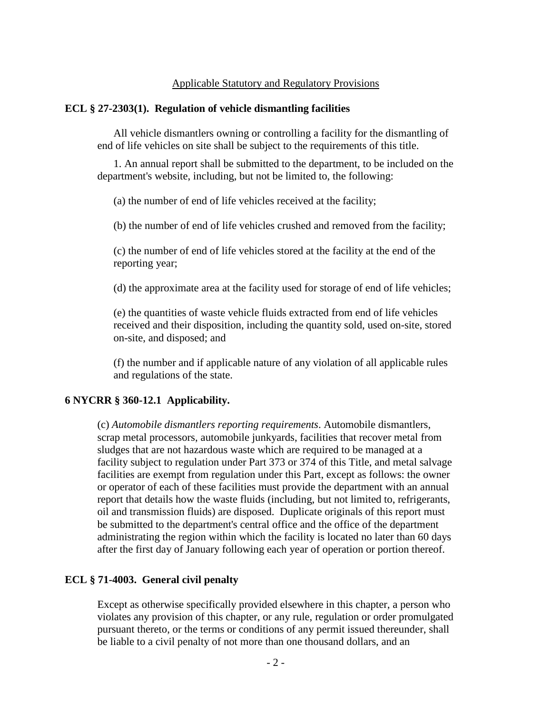## Applicable Statutory and Regulatory Provisions

#### **ECL § 27-2303(1). Regulation of vehicle dismantling facilities**

All vehicle dismantlers owning or controlling a facility for the dismantling of end of life vehicles on site shall be subject to the requirements of this title.

1. An annual report shall be submitted to the department, to be included on the department's website, including, but not be limited to, the following:

(a) the number of end of life vehicles received at the facility;

(b) the number of end of life vehicles crushed and removed from the facility;

(c) the number of end of life vehicles stored at the facility at the end of the reporting year;

(d) the approximate area at the facility used for storage of end of life vehicles;

(e) the quantities of waste vehicle fluids extracted from end of life vehicles received and their disposition, including the quantity sold, used on-site, stored on-site, and disposed; and

(f) the number and if applicable nature of any violation of all applicable rules and regulations of the state.

#### **6 NYCRR § 360-12.1 Applicability.**

(c) *Automobile dismantlers reporting requirements*. Automobile dismantlers, scrap metal processors, automobile junkyards, facilities that recover metal from sludges that are not hazardous waste which are required to be managed at a facility subject to regulation under Part 373 or 374 of this Title, and metal salvage facilities are exempt from regulation under this Part, except as follows: the owner or operator of each of these facilities must provide the department with an annual report that details how the waste fluids (including, but not limited to, refrigerants, oil and transmission fluids) are disposed. Duplicate originals of this report must be submitted to the department's central office and the office of the department administrating the region within which the facility is located no later than 60 days after the first day of January following each year of operation or portion thereof.

## **ECL § 71-4003. General civil penalty**

Except as otherwise specifically provided elsewhere in this chapter, a person who violates any provision of this chapter, or any rule, regulation or order promulgated pursuant thereto, or the terms or conditions of any permit issued thereunder, shall be liable to a civil penalty of not more than one thousand dollars, and an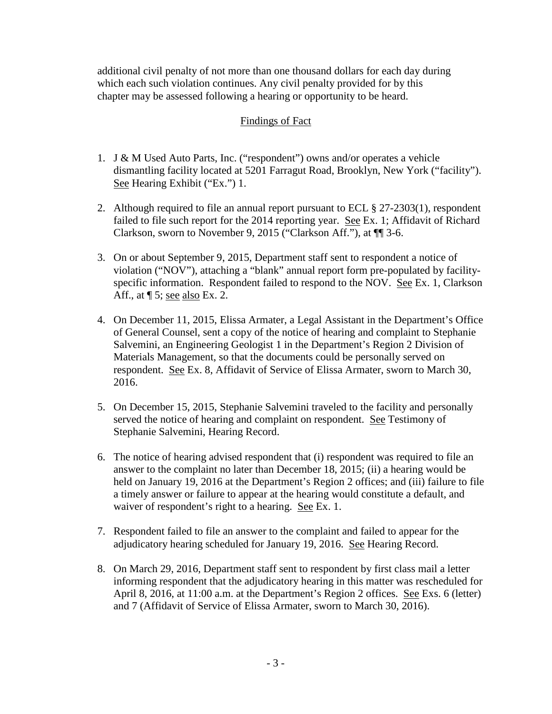additional civil penalty of not more than one thousand dollars for each day during which each such violation continues. Any civil penalty provided for by this chapter may be assessed following a hearing or opportunity to be heard.

# Findings of Fact

- 1. J & M Used Auto Parts, Inc. ("respondent") owns and/or operates a vehicle dismantling facility located at 5201 Farragut Road, Brooklyn, New York ("facility"). See Hearing Exhibit ("Ex.") 1.
- 2. Although required to file an annual report pursuant to ECL § 27-2303(1), respondent failed to file such report for the 2014 reporting year. See Ex. 1; Affidavit of Richard Clarkson, sworn to November 9, 2015 ("Clarkson Aff."), at ¶¶ 3-6.
- 3. On or about September 9, 2015, Department staff sent to respondent a notice of violation ("NOV"), attaching a "blank" annual report form pre-populated by facilityspecific information. Respondent failed to respond to the NOV. See Ex. 1, Clarkson Aff., at  $\P$  5; see also Ex. 2.
- 4. On December 11, 2015, Elissa Armater, a Legal Assistant in the Department's Office of General Counsel, sent a copy of the notice of hearing and complaint to Stephanie Salvemini, an Engineering Geologist 1 in the Department's Region 2 Division of Materials Management, so that the documents could be personally served on respondent. See Ex. 8, Affidavit of Service of Elissa Armater, sworn to March 30, 2016.
- 5. On December 15, 2015, Stephanie Salvemini traveled to the facility and personally served the notice of hearing and complaint on respondent. See Testimony of Stephanie Salvemini, Hearing Record.
- 6. The notice of hearing advised respondent that (i) respondent was required to file an answer to the complaint no later than December 18, 2015; (ii) a hearing would be held on January 19, 2016 at the Department's Region 2 offices; and (iii) failure to file a timely answer or failure to appear at the hearing would constitute a default, and waiver of respondent's right to a hearing. See Ex. 1.
- 7. Respondent failed to file an answer to the complaint and failed to appear for the adjudicatory hearing scheduled for January 19, 2016. See Hearing Record.
- 8. On March 29, 2016, Department staff sent to respondent by first class mail a letter informing respondent that the adjudicatory hearing in this matter was rescheduled for April 8, 2016, at 11:00 a.m. at the Department's Region 2 offices. See Exs. 6 (letter) and 7 (Affidavit of Service of Elissa Armater, sworn to March 30, 2016).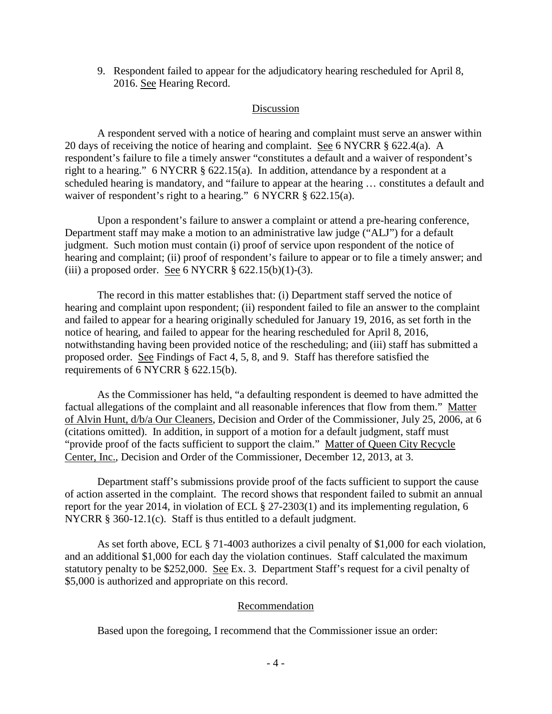9. Respondent failed to appear for the adjudicatory hearing rescheduled for April 8, 2016. See Hearing Record.

## Discussion

A respondent served with a notice of hearing and complaint must serve an answer within 20 days of receiving the notice of hearing and complaint. See 6 NYCRR § 622.4(a). A respondent's failure to file a timely answer "constitutes a default and a waiver of respondent's right to a hearing." 6 NYCRR § 622.15(a). In addition, attendance by a respondent at a scheduled hearing is mandatory, and "failure to appear at the hearing … constitutes a default and waiver of respondent's right to a hearing." 6 NYCRR § 622.15(a).

Upon a respondent's failure to answer a complaint or attend a pre-hearing conference, Department staff may make a motion to an administrative law judge ("ALJ") for a default judgment. Such motion must contain (i) proof of service upon respondent of the notice of hearing and complaint; (ii) proof of respondent's failure to appear or to file a timely answer; and (iii) a proposed order. See 6 NYCRR  $\S$  622.15(b)(1)-(3).

The record in this matter establishes that: (i) Department staff served the notice of hearing and complaint upon respondent; (ii) respondent failed to file an answer to the complaint and failed to appear for a hearing originally scheduled for January 19, 2016, as set forth in the notice of hearing, and failed to appear for the hearing rescheduled for April 8, 2016, notwithstanding having been provided notice of the rescheduling; and (iii) staff has submitted a proposed order. See Findings of Fact 4, 5, 8, and 9. Staff has therefore satisfied the requirements of 6 NYCRR § 622.15(b).

As the Commissioner has held, "a defaulting respondent is deemed to have admitted the factual allegations of the complaint and all reasonable inferences that flow from them." Matter of Alvin Hunt, d/b/a Our Cleaners, Decision and Order of the Commissioner, July 25, 2006, at 6 (citations omitted). In addition, in support of a motion for a default judgment, staff must "provide proof of the facts sufficient to support the claim." Matter of Queen City Recycle Center, Inc., Decision and Order of the Commissioner, December 12, 2013, at 3.

Department staff's submissions provide proof of the facts sufficient to support the cause of action asserted in the complaint. The record shows that respondent failed to submit an annual report for the year 2014, in violation of ECL § 27-2303(1) and its implementing regulation, 6 NYCRR § 360-12.1(c). Staff is thus entitled to a default judgment.

As set forth above, ECL § 71-4003 authorizes a civil penalty of \$1,000 for each violation, and an additional \$1,000 for each day the violation continues. Staff calculated the maximum statutory penalty to be \$252,000. See Ex. 3. Department Staff's request for a civil penalty of \$5,000 is authorized and appropriate on this record.

## Recommendation

Based upon the foregoing, I recommend that the Commissioner issue an order: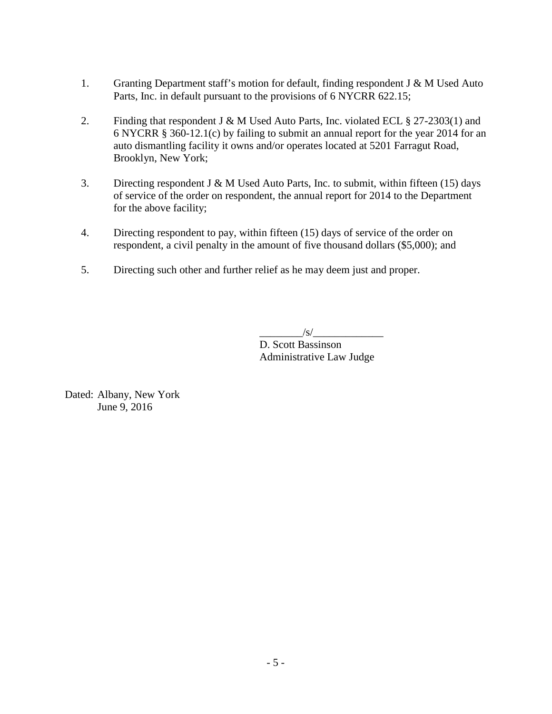- 1. Granting Department staff's motion for default, finding respondent J & M Used Auto Parts, Inc. in default pursuant to the provisions of 6 NYCRR 622.15;
- 2. Finding that respondent J & M Used Auto Parts, Inc. violated ECL § 27-2303(1) and 6 NYCRR § 360-12.1(c) by failing to submit an annual report for the year 2014 for an auto dismantling facility it owns and/or operates located at 5201 Farragut Road, Brooklyn, New York;
- 3. Directing respondent J & M Used Auto Parts, Inc. to submit, within fifteen (15) days of service of the order on respondent, the annual report for 2014 to the Department for the above facility;
- 4. Directing respondent to pay, within fifteen (15) days of service of the order on respondent, a civil penalty in the amount of five thousand dollars (\$5,000); and
- 5. Directing such other and further relief as he may deem just and proper.

 $/\mathrm{s}/$ 

D. Scott Bassinson Administrative Law Judge

Dated: Albany, New York June 9, 2016